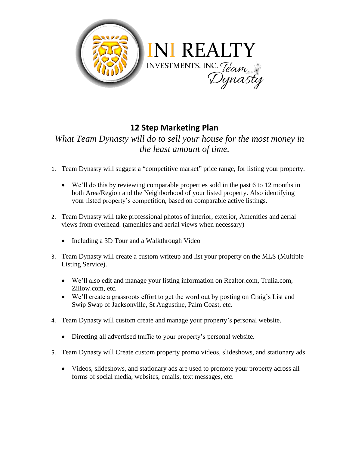

## **12 Step Marketing Plan**

## *What Team Dynasty will do to sell your house for the most money in the least amount of time.*

- 1. Team Dynasty will suggest a "competitive market" price range, for listing your property.
	- We'll do this by reviewing comparable properties sold in the past 6 to 12 months in both Area/Region and the Neighborhood of your listed property. Also identifying your listed property's competition, based on comparable active listings.
- 2. Team Dynasty will take professional photos of interior, exterior, Amenities and aerial views from overhead. (amenities and aerial views when necessary)
	- Including a 3D Tour and a Walkthrough Video
- 3. Team Dynasty will create a custom writeup and list your property on the MLS (Multiple Listing Service).
	- We'll also edit and manage your listing information on Realtor.com, Trulia.com, Zillow.com, etc.
	- We'll create a grassroots effort to get the word out by posting on Craig's List and Swip Swap of Jacksonville, St Augustine, Palm Coast, etc.
- 4. Team Dynasty will custom create and manage your property's personal website.
	- Directing all advertised traffic to your property's personal website.
- 5. Team Dynasty will Create custom property promo videos, slideshows, and stationary ads.
	- Videos, slideshows, and stationary ads are used to promote your property across all forms of social media, websites, emails, text messages, etc.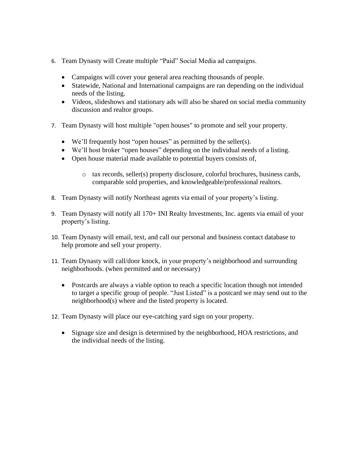- 6. Team Dynasty will Create multiple "Paid" Social Media ad campaigns.
	- Campaigns will cover your general area reaching thousands of people.
	- Statewide, National and International campaigns are ran depending on the individual needs of the listing.
	- Videos, slideshows and stationary ads will also be shared on social media community discussion and realtor groups.
- 7. Team Dynasty will host multiple "open houses" to promote and sell your property.
	- We'll frequently host "open houses" as permitted by the seller(s).
	- We'll host broker "open houses" depending on the individual needs of a listing.
	- Open house material made available to potential buyers consists of,
		- o tax records, seller(s) property disclosure, colorful brochures, business cards, comparable sold properties, and knowledgeable/professional realtors.
- 8. Team Dynasty will notify Northeast agents via email of your property's listing.
- 9. Team Dynasty will notify all 170+ INI Realty Investments, Inc. agents via email of your property's listing.
- 10. Team Dynasty will email, text, and call our personal and business contact database to help promote and sell your property.
- 11. Team Dynasty will call/door knock, in your property's neighborhood and surrounding neighborhoods. (when permitted and or necessary)
	- Postcards are always a viable option to reach a specific location though not intended to target a specific group of people. "Just Listed" is a postcard we may send out to the neighborhood(s) where and the listed property is located.
- 12. Team Dynasty will place our eye-catching yard sign on your property.
	- Signage size and design is determined by the neighborhood, HOA restrictions, and the individual needs of the listing.